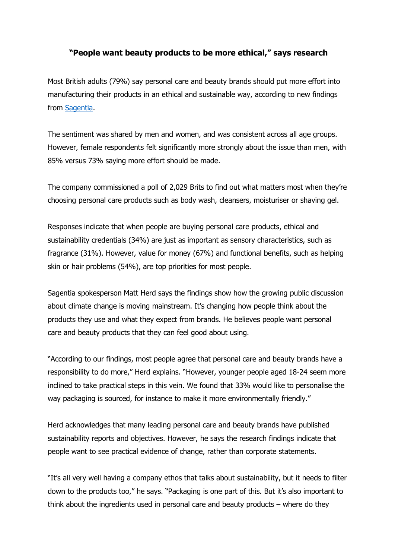## **"People want beauty products to be more ethical," says research**

Most British adults (79%) say personal care and beauty brands should put more effort into manufacturing their products in an ethical and sustainable way, according to new findings from [Sagentia.](https://www.sagentia.com/)

The sentiment was shared by men and women, and was consistent across all age groups. However, female respondents felt significantly more strongly about the issue than men, with 85% versus 73% saying more effort should be made.

The company commissioned a poll of 2,029 Brits to find out what matters most when they're choosing personal care products such as body wash, cleansers, moisturiser or shaving gel.

Responses indicate that when people are buying personal care products, ethical and sustainability credentials (34%) are just as important as sensory characteristics, such as fragrance (31%). However, value for money (67%) and functional benefits, such as helping skin or hair problems (54%), are top priorities for most people.

Sagentia spokesperson Matt Herd says the findings show how the growing public discussion about climate change is moving mainstream. It's changing how people think about the products they use and what they expect from brands. He believes people want personal care and beauty products that they can feel good about using.

"According to our findings, most people agree that personal care and beauty brands have a responsibility to do more," Herd explains. "However, younger people aged 18-24 seem more inclined to take practical steps in this vein. We found that 33% would like to personalise the way packaging is sourced, for instance to make it more environmentally friendly."

Herd acknowledges that many leading personal care and beauty brands have published sustainability reports and objectives. However, he says the research findings indicate that people want to see practical evidence of change, rather than corporate statements.

"It's all very well having a company ethos that talks about sustainability, but it needs to filter down to the products too," he says. "Packaging is one part of this. But it's also important to think about the ingredients used in personal care and beauty products – where do they